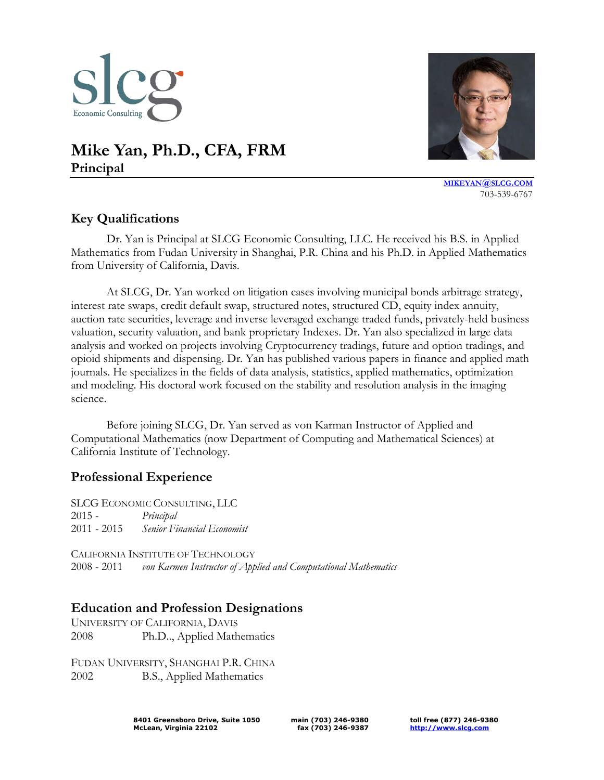

# **Mike Yan, Ph.D., CFA, FRM Principal**



**[MIKEYAN](mailto:mikeyan@slcg.com)@SLCG.COM** 703-539-6767

## **Key Qualifications**

Dr. Yan is Principal at SLCG Economic Consulting, LLC. He received his B.S. in Applied Mathematics from Fudan University in Shanghai, P.R. China and his Ph.D. in Applied Mathematics from University of California, Davis.

At SLCG, Dr. Yan worked on litigation cases involving municipal bonds arbitrage strategy, interest rate swaps, credit default swap, structured notes, structured CD, equity index annuity, auction rate securities, leverage and inverse leveraged exchange traded funds, privately-held business valuation, security valuation, and bank proprietary Indexes. Dr. Yan also specialized in large data analysis and worked on projects involving Cryptocurrency tradings, future and option tradings, and opioid shipments and dispensing. Dr. Yan has published various papers in finance and applied math journals. He specializes in the fields of data analysis, statistics, applied mathematics, optimization and modeling. His doctoral work focused on the stability and resolution analysis in the imaging science.

Before joining SLCG, Dr. Yan served as von Karman Instructor of Applied and Computational Mathematics (now Department of Computing and Mathematical Sciences) at California Institute of Technology.

#### **Professional Experience**

SLCG ECONOMIC CONSULTING, LLC 2015 - *Principal* 2011 - 2015 *Senior Financial Economist*

CALIFORNIA INSTITUTE OF TECHNOLOGY 2008 - 2011 *von Karmen Instructor of Applied and Computational Mathematics*

#### **Education and Profession Designations**

UNIVERSITY OF CALIFORNIA, DAVIS 2008 Ph.D.., Applied Mathematics

FUDAN UNIVERSITY, SHANGHAI P.R. CHINA 2002 B.S., Applied Mathematics

> **8401 Greensboro Drive, Suite 1050 McLean, Virginia 22102**

**main (703) 246-9380 fax (703) 246-9387**

**toll free (877) 246-9380 [http://www.slcg.com](http://www.slcg.com/)**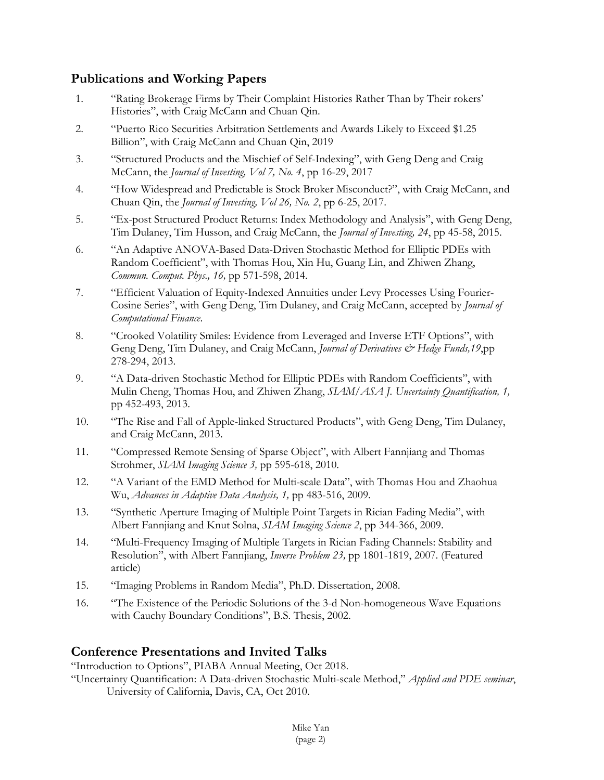## **Publications and Working Papers**

- 1. "Rating Brokerage Firms by Their Complaint Histories Rather Than by Their rokers' Histories", with Craig McCann and Chuan Qin.
- 2. "Puerto Rico Securities Arbitration Settlements and Awards Likely to Exceed \$1.25 Billion", with Craig McCann and Chuan Qin, 2019
- 3. "Structured Products and the Mischief of Self-Indexing", with Geng Deng and Craig McCann, the *Journal of Investing, Vol 7, No. 4*, pp 16-29, 2017
- 4. "How Widespread and Predictable is Stock Broker Misconduct?", with Craig McCann, and Chuan Qin, the *Journal of Investing, Vol 26, No. 2*, pp 6-25, 2017.
- 5. "Ex-post Structured Product Returns: Index Methodology and Analysis", with Geng Deng, Tim Dulaney, Tim Husson, and Craig McCann, the *Journal of Investing, 24*, pp 45-58, 2015.
- 6. "An Adaptive ANOVA-Based Data-Driven Stochastic Method for Elliptic PDEs with Random Coefficient", with Thomas Hou, Xin Hu, Guang Lin, and Zhiwen Zhang, *Commun. Comput. Phys., 16,* pp 571-598, 2014.
- 7. "Efficient Valuation of Equity-Indexed Annuities under Levy Processes Using Fourier-Cosine Series", with Geng Deng, Tim Dulaney, and Craig McCann, accepted by *Journal of Computational Finance*.
- 8. "Crooked Volatility Smiles: Evidence from Leveraged and Inverse ETF Options", with Geng Deng, Tim Dulaney, and Craig McCann, *Journal of Derivatives & Hedge Funds*, 19,pp 278-294, 2013.
- 9. "A Data-driven Stochastic Method for Elliptic PDEs with Random Coefficients", with Mulin Cheng, Thomas Hou, and Zhiwen Zhang, *SIAM/ASA J. Uncertainty Quantification, 1,*  pp 452-493, 2013.
- 10. "The Rise and Fall of Apple-linked Structured Products", with Geng Deng, Tim Dulaney, and Craig McCann, 2013.
- 11. "Compressed Remote Sensing of Sparse Object", with Albert Fannjiang and Thomas Strohmer, *SIAM Imaging Science 3,* pp 595-618, 2010.
- 12. "A Variant of the EMD Method for Multi-scale Data", with Thomas Hou and Zhaohua Wu, *Advances in Adaptive Data Analysis, 1,* pp 483-516, 2009*.*
- 13. "Synthetic Aperture Imaging of Multiple Point Targets in Rician Fading Media", with Albert Fannjiang and Knut Solna, *SIAM Imaging Science 2*, pp 344-366, 2009.
- 14. "Multi-Frequency Imaging of Multiple Targets in Rician Fading Channels: Stability and Resolution", with Albert Fannjiang, *Inverse Problem 23,* pp 1801-1819, 2007. (Featured article)
- 15. "Imaging Problems in Random Media", Ph.D. Dissertation, 2008.
- 16. "The Existence of the Periodic Solutions of the 3-d Non-homogeneous Wave Equations with Cauchy Boundary Conditions", B.S. Thesis, 2002.

### **Conference Presentations and Invited Talks**

"Introduction to Options", PIABA Annual Meeting, Oct 2018.

"Uncertainty Quantification: A Data-driven Stochastic Multi-scale Method," *Applied and PDE seminar*, University of California, Davis, CA, Oct 2010.